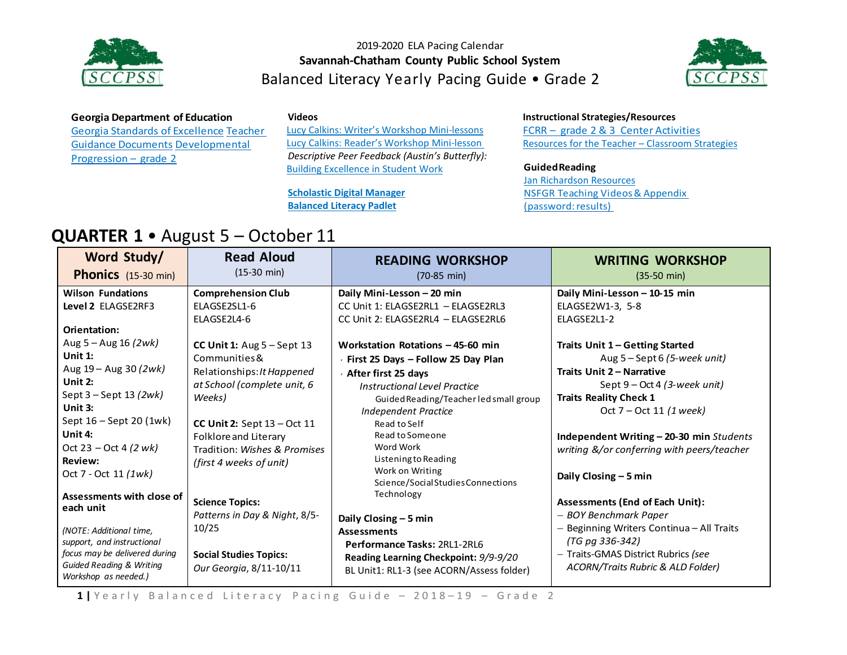



### **Georgia Department of Education**

Georgia Standards of [Excellence](https://drive.google.com/open?id=0B9TBXLcHMe3Wd0laYnc0NmQ0WGc) [Teacher](https://drive.google.com/open?id=0B9TBXLcHMe3WSDFvQU5wSVY1dVE) Guidance [Documents](https://drive.google.com/open?id=0B9TBXLcHMe3WSDFvQU5wSVY1dVE) [Developmental](https://drive.google.com/open?id=0B9TBXLcHMe3WQ1FscC1Cd21mNXM) [Progression](https://drive.google.com/open?id=0B9TBXLcHMe3WQ1FscC1Cd21mNXM) – grade 2

**Videos**

[Lucy Calkins: Writer's Workshop Mini-lessons](https://www.youtube.com/watch?v=zPRM2ZXyrS0&list=PLb5RXypPqP5sNAYNUDEfwaq2QYPauhCcc) [Lucy Calkins: Reader's Workshop Mini-lesson](https://www.youtube.com/watch?v=AwCNOjuhVDY&list=PL11B81A18DF41BEC6) *Descriptive Peer Feedback (Austin's Butterfly):* [Building Excellence in Student Work](https://vimeo.com/38247060)

**[Scholastic Digital Manager](https://digital.scholastic.com/#/signin) [Balanced Literacy Padlet](https://padlet.com/janet_junco/p9tlqzh52l56)**

### **Instructional Strategies/Resources**

FCRR – grade 2 & 3 Center [Activities](http://www.fcrr.org/resources/resources_sca_2-3.html) [Resources f](http://www.fcrr.org/resources/resources_sca_k-1.html)or the Teacher – [Classroom Strategies](http://www.fortheteachers.org/instructional_strategies/)

#### **GuidedReading**

[Jan Richardson Resources](http://www.janrichardsonguidedreading.com/resources-1) NSFGR [Teaching](http://www.scholastic.com/NSFresources/) Videos& Appendix (password: results)

### **QUARTER 1** • August 5 – October 11

| Word Study/<br><b>Phonics</b> (15-30 min)                                                                                                                                                       | <b>Read Aloud</b><br>$(15-30 \text{ min})$                                                                                                            | <b>READING WORKSHOP</b><br>$(70-85 \text{ min})$                                                                                                                                                                 | <b>WRITING WORKSHOP</b><br>$(35-50 \text{ min})$                                                                                                                                                            |
|-------------------------------------------------------------------------------------------------------------------------------------------------------------------------------------------------|-------------------------------------------------------------------------------------------------------------------------------------------------------|------------------------------------------------------------------------------------------------------------------------------------------------------------------------------------------------------------------|-------------------------------------------------------------------------------------------------------------------------------------------------------------------------------------------------------------|
| <b>Wilson Fundations</b><br>Level 2 ELAGSE2RF3<br>Orientation:                                                                                                                                  | <b>Comprehension Club</b><br>ELAGSE2SL1-6<br>ELAGSE2L4-6                                                                                              | Daily Mini-Lesson - 20 min<br>CC Unit 1: ELAGSE2RL1 - ELAGSE2RL3<br>CC Unit 2: ELAGSE2RL4 - ELAGSE2RL6                                                                                                           | Daily Mini-Lesson - 10-15 min<br>ELAGSE2W1-3, 5-8<br>ELAGSE2L1-2                                                                                                                                            |
| Aug 5 – Aug 16 (2wk)<br>Unit $1$ :<br>Aug 19 - Aug 30 (2wk)<br>Unit $2:$<br>Sept $3 -$ Sept 13 (2wk)<br>Unit $3:$<br>Sept 16 - Sept 20 (1wk)                                                    | CC Unit 1: $Aug 5 - Sept 13$<br>Communities &<br>Relationships: It Happened<br>at School (complete unit, 6<br>Weeks)<br>CC Unit 2: Sept $13 - Oct$ 11 | Workstation Rotations - 45-60 min<br>First 25 Days - Follow 25 Day Plan<br>After first 25 days<br>Instructional Level Practice<br>Guided Reading/Teacher led small group<br>Independent Practice<br>Read to Self | Traits Unit 1 – Getting Started<br>Aug $5 -$ Sept 6 (5-week unit)<br><b>Traits Unit 2 - Narrative</b><br>Sept $9 - Oct 4 (3-week unit)$<br><b>Traits Reality Check 1</b><br>Oct 7 – Oct 11 (1 week)         |
| Unit 4:<br>Oct 23 – Oct 4 $(2 w k)$<br><b>Review:</b><br>Oct 7 - Oct 11 (1wk)                                                                                                                   | Folklore and Literary<br>Tradition: Wishes & Promises<br>(first 4 weeks of unit)                                                                      | Read to Someone<br>Word Work<br>Listening to Reading<br>Work on Writing<br>Science/Social Studies Connections                                                                                                    | Independent Writing - 20-30 min Students<br>writing &/or conferring with peers/teacher<br>Daily Closing $-5$ min                                                                                            |
| Assessments with close of<br>each unit<br>(NOTE: Additional time,<br>support, and instructional<br>focus may be delivered during<br><b>Guided Reading &amp; Writing</b><br>Workshop as needed.) | <b>Science Topics:</b><br>Patterns in Day & Night, 8/5-<br>10/25<br><b>Social Studies Topics:</b><br>Our Georgia, 8/11-10/11                          | Technology<br>Daily Closing - 5 min<br><b>Assessments</b><br>Performance Tasks: 2RL1-2RL6<br>Reading Learning Checkpoint: 9/9-9/20<br>BL Unit1: RL1-3 (see ACORN/Assess folder)                                  | <b>Assessments (End of Each Unit):</b><br>- BOY Benchmark Paper<br>- Beginning Writers Continua - All Traits<br>(TG pg 336-342)<br>- Traits-GMAS District Rubrics (see<br>ACORN/Traits Rubric & ALD Folder) |

1 | Yearly Balanced Literacy Pacing Guide - 2018-19 - Grade 2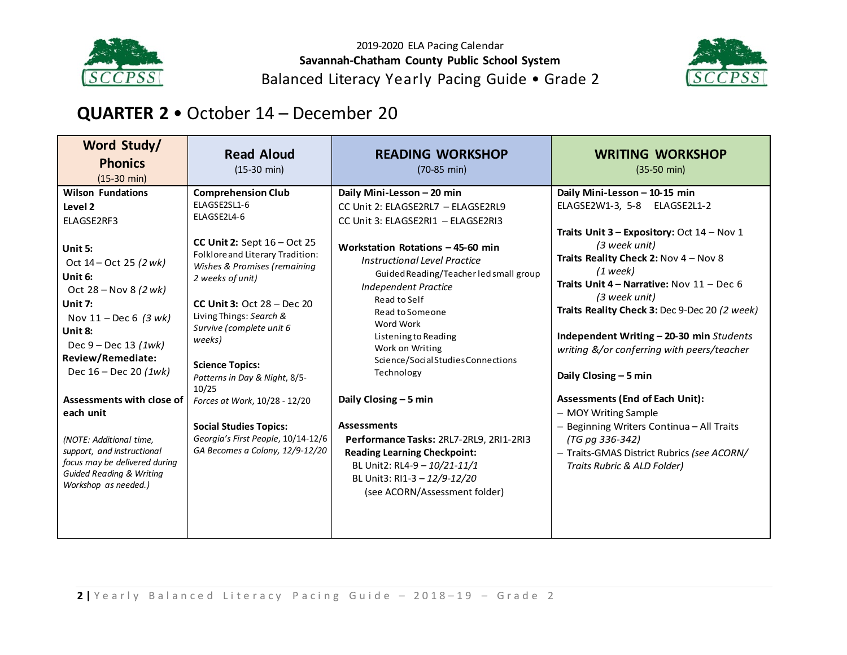



# **QUARTER 2** • October 14 – December 20

| Word Study/<br><b>Phonics</b><br>$(15-30 \text{ min})$                                                                                                                                                                                                                                                                                                                                                                                                                     | <b>Read Aloud</b><br>$(15-30 \text{ min})$                                                                                                                                                                                                                                                                                                                                                                                                                                                        | <b>READING WORKSHOP</b><br>$(70-85 \text{ min})$                                                                                                                                                                                                                                                                                                                                                                                                                                                                                                                                                                                    | <b>WRITING WORKSHOP</b><br>$(35-50 \text{ min})$                                                                                                                                                                                                                                                                                                                                                                                                                                                                                                                                                                                         |
|----------------------------------------------------------------------------------------------------------------------------------------------------------------------------------------------------------------------------------------------------------------------------------------------------------------------------------------------------------------------------------------------------------------------------------------------------------------------------|---------------------------------------------------------------------------------------------------------------------------------------------------------------------------------------------------------------------------------------------------------------------------------------------------------------------------------------------------------------------------------------------------------------------------------------------------------------------------------------------------|-------------------------------------------------------------------------------------------------------------------------------------------------------------------------------------------------------------------------------------------------------------------------------------------------------------------------------------------------------------------------------------------------------------------------------------------------------------------------------------------------------------------------------------------------------------------------------------------------------------------------------------|------------------------------------------------------------------------------------------------------------------------------------------------------------------------------------------------------------------------------------------------------------------------------------------------------------------------------------------------------------------------------------------------------------------------------------------------------------------------------------------------------------------------------------------------------------------------------------------------------------------------------------------|
| <b>Wilson Fundations</b><br>Level 2<br>ELAGSE2RF3<br>Unit 5:<br>Oct 14 – Oct 25 (2 wk)<br>Unit 6:<br>Oct 28 – Nov 8 $(2 w k)$<br>Unit 7:<br>Nov $11 - \text{Dec } 6$ (3 wk)<br>Unit 8:<br>Dec $9 - Dec 13 (1wk)$<br>Review/Remediate:<br>Dec $16 - Dec 20$ (1wk)<br><b>Assessments with close of</b><br>each unit<br>(NOTE: Additional time,<br>support, and instructional<br>focus may be delivered during<br><b>Guided Reading &amp; Writing</b><br>Workshop as needed.) | <b>Comprehension Club</b><br>ELAGSE2SL1-6<br>ELAGSE2L4-6<br>CC Unit 2: Sept $16 - Oct$ 25<br>Folklore and Literary Tradition:<br>Wishes & Promises (remaining<br>2 weeks of unit)<br>CC Unit 3: Oct $28 - Dec 20$<br>Living Things: Search &<br>Survive (complete unit 6<br>weeks)<br><b>Science Topics:</b><br>Patterns in Day & Night, 8/5-<br>10/25<br>Forces at Work, 10/28 - 12/20<br><b>Social Studies Topics:</b><br>Georgia's First People, 10/14-12/6<br>GA Becomes a Colony, 12/9-12/20 | Daily Mini-Lesson - 20 min<br>CC Unit 2: ELAGSE2RL7 - ELAGSE2RL9<br>CC Unit 3: ELAGSE2RI1 - ELAGSE2RI3<br>Workstation Rotations - 45-60 min<br><b>Instructional Level Practice</b><br>Guided Reading/Teacher led small group<br>Independent Practice<br>Read to Self<br>Read to Someone<br>Word Work<br>Listening to Reading<br>Work on Writing<br>Science/SocialStudiesConnections<br>Technology<br>Daily Closing - 5 min<br><b>Assessments</b><br>Performance Tasks: 2RL7-2RL9, 2RI1-2RI3<br><b>Reading Learning Checkpoint:</b><br>BL Unit2: RL4-9 - 10/21-11/1<br>BL Unit3: RI1-3 - 12/9-12/20<br>(see ACORN/Assessment folder) | Daily Mini-Lesson - 10-15 min<br>ELAGSE2W1-3, 5-8 ELAGSE2L1-2<br>Traits Unit $3$ – Expository: Oct $14$ – Nov 1<br>(3 week unit)<br>Traits Reality Check 2: Nov 4 - Nov 8<br>$(1$ week)<br>Traits Unit 4 - Narrative: Nov 11 - Dec 6<br>(3 week unit)<br>Traits Reality Check 3: Dec 9-Dec 20 (2 week)<br>Independent Writing - 20-30 min Students<br>writing &/or conferring with peers/teacher<br>Daily Closing - 5 min<br><b>Assessments (End of Each Unit):</b><br>- MOY Writing Sample<br>- Beginning Writers Continua - All Traits<br>(TG pg 336-342)<br>- Traits-GMAS District Rubrics (see ACORN/<br>Traits Rubric & ALD Folder) |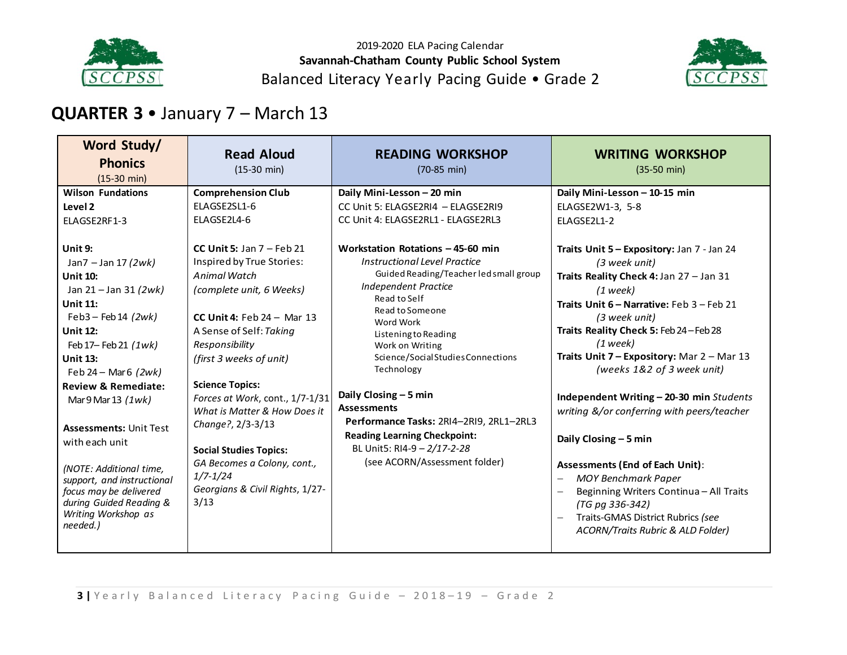



# **QUARTER 3** • January 7 – March 13

| Word Study/<br><b>Phonics</b><br>$(15-30$ min)                                                                                                                                                                                                                                                                                                                                                                          | <b>Read Aloud</b><br>$(15-30 \text{ min})$                                                                                                                                                                                                                                                                                                                                                                                                                 | <b>READING WORKSHOP</b><br>$(70-85 \text{ min})$                                                                                                                                                                                                                                                                                                                                                                                                                                                                                                                                                           | <b>WRITING WORKSHOP</b><br>$(35-50 \text{ min})$                                                                                                                                                                                                                                                                                                                                                                                                                                                                                                       |
|-------------------------------------------------------------------------------------------------------------------------------------------------------------------------------------------------------------------------------------------------------------------------------------------------------------------------------------------------------------------------------------------------------------------------|------------------------------------------------------------------------------------------------------------------------------------------------------------------------------------------------------------------------------------------------------------------------------------------------------------------------------------------------------------------------------------------------------------------------------------------------------------|------------------------------------------------------------------------------------------------------------------------------------------------------------------------------------------------------------------------------------------------------------------------------------------------------------------------------------------------------------------------------------------------------------------------------------------------------------------------------------------------------------------------------------------------------------------------------------------------------------|--------------------------------------------------------------------------------------------------------------------------------------------------------------------------------------------------------------------------------------------------------------------------------------------------------------------------------------------------------------------------------------------------------------------------------------------------------------------------------------------------------------------------------------------------------|
| <b>Wilson Fundations</b><br>Level 2<br>ELAGSE2RF1-3<br>Unit 9:<br>Jan7 - Jan 17 (2wk)<br><b>Unit 10:</b><br>Jan 21 – Jan 31 (2wk)<br><b>Unit 11:</b><br>Feb3 - Feb 14 $(2wk)$<br><b>Unit 12:</b><br>Feb 17- Feb 21 (1wk)<br><b>Unit 13:</b><br>Feb $24 - \text{Mar6}$ (2wk)<br><b>Review &amp; Remediate:</b><br>Mar $9$ Mar $13$ $(1wk)$<br><b>Assessments: Unit Test</b><br>with each unit<br>(NOTE: Additional time, | <b>Comprehension Club</b><br>ELAGSE2SL1-6<br>ELAGSE2L4-6<br>CC Unit 5: Jan $7$ – Feb 21<br>Inspired by True Stories:<br>Animal Watch<br>(complete unit, 6 Weeks)<br>CC Unit 4: Feb $24 -$ Mar 13<br>A Sense of Self: Taking<br>Responsibility<br>(first 3 weeks of unit)<br><b>Science Topics:</b><br>Forces at Work, cont., 1/7-1/31<br>What is Matter & How Does it<br>Change?, 2/3-3/13<br><b>Social Studies Topics:</b><br>GA Becomes a Colony, cont., | Daily Mini-Lesson - 20 min<br>CC Unit 5: ELAGSE2RI4 - ELAGSE2RI9<br>CC Unit 4: ELAGSE2RL1 - ELAGSE2RL3<br>Workstation Rotations - 45-60 min<br><b>Instructional Level Practice</b><br>Guided Reading/Teacher led small group<br><b>Independent Practice</b><br>Read to Self<br>Read to Someone<br>Word Work<br>Listening to Reading<br>Work on Writing<br>Science/SocialStudiesConnections<br>Technology<br>Daily Closing $-5$ min<br><b>Assessments</b><br>Performance Tasks: 2RI4-2RI9, 2RL1-2RL3<br><b>Reading Learning Checkpoint:</b><br>BL Unit5: RI4-9 - 2/17-2-28<br>(see ACORN/Assessment folder) | Daily Mini-Lesson - 10-15 min<br>ELAGSE2W1-3, 5-8<br>ELAGSE2L1-2<br>Traits Unit 5 - Expository: Jan 7 - Jan 24<br>(3 week unit)<br>Traits Reality Check 4: Jan 27 - Jan 31<br>$(1$ week)<br>Traits Unit 6 - Narrative: Feb 3 - Feb 21<br>(3 week unit)<br>Traits Reality Check 5: Feb 24-Feb 28<br>$(1$ week)<br>Traits Unit 7 - Expository: Mar 2 - Mar 13<br>(weeks 1&2 of 3 week unit)<br>Independent Writing - 20-30 min Students<br>writing &/or conferring with peers/teacher<br>Daily Closing - 5 min<br><b>Assessments (End of Each Unit):</b> |
| support, and instructional<br>focus may be delivered<br>during Guided Reading &<br>Writing Workshop as<br>needed.)                                                                                                                                                                                                                                                                                                      | $1/7 - 1/24$<br>Georgians & Civil Rights, 1/27-<br>3/13                                                                                                                                                                                                                                                                                                                                                                                                    |                                                                                                                                                                                                                                                                                                                                                                                                                                                                                                                                                                                                            | <b>MOY Benchmark Paper</b><br>Beginning Writers Continua - All Traits<br>(TG pg 336-342)<br>Traits-GMAS District Rubrics (see<br>ACORN/Traits Rubric & ALD Folder)                                                                                                                                                                                                                                                                                                                                                                                     |